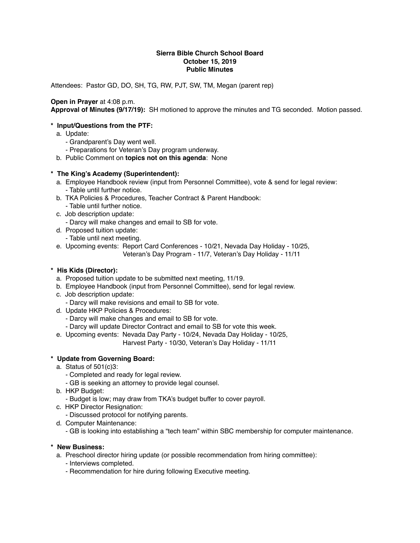#### **Sierra Bible Church School Board October 15, 2019 Public Minutes**

Attendees: Pastor GD, DO, SH, TG, RW, PJT, SW, TM, Megan (parent rep)

## **Open in Prayer** at 4:08 p.m.

**Approval of Minutes (9/17/19):** SH motioned to approve the minutes and TG seconded. Motion passed.

### **\* Input/Questions from the PTF:**

- a. Update:
	- Grandparent's Day went well.
	- Preparations for Veteran's Day program underway.
- b. Public Comment on **topics not on this agenda**: None

### **\* The King's Academy (Superintendent):**

- a. Employee Handbook review (input from Personnel Committee), vote & send for legal review: - Table until further notice.
- b. TKA Policies & Procedures, Teacher Contract & Parent Handbook:
	- Table until further notice.
- c. Job description update:
	- Darcy will make changes and email to SB for vote.
- d. Proposed tuition update:
	- Table until next meeting.
- e. Upcoming events: Report Card Conferences 10/21, Nevada Day Holiday 10/25, Veteran's Day Program - 11/7, Veteran's Day Holiday - 11/11

### **\* His Kids (Director):**

- a. Proposed tuition update to be submitted next meeting, 11/19.
- b. Employee Handbook (input from Personnel Committee), send for legal review.
- c. Job description update:
	- Darcy will make revisions and email to SB for vote.
- d. Update HKP Policies & Procedures:
	- Darcy will make changes and email to SB for vote.
	- Darcy will update Director Contract and email to SB for vote this week.
- e. Upcoming events: Nevada Day Party 10/24, Nevada Day Holiday 10/25,

Harvest Party - 10/30, Veteran's Day Holiday - 11/11

## **\* Update from Governing Board:**

- a. Status of 501(c)3:
	- Completed and ready for legal review.
	- GB is seeking an attorney to provide legal counsel.
- b. HKP Budget:
	- Budget is low; may draw from TKA's budget buffer to cover payroll.
- c. HKP Director Resignation:
	- Discussed protocol for notifying parents.
- d. Computer Maintenance:
	- GB is looking into establishing a "tech team" within SBC membership for computer maintenance.
- **\* New Business:**
	- a. Preschool director hiring update (or possible recommendation from hiring committee):
		- Interviews completed.
		- Recommendation for hire during following Executive meeting.